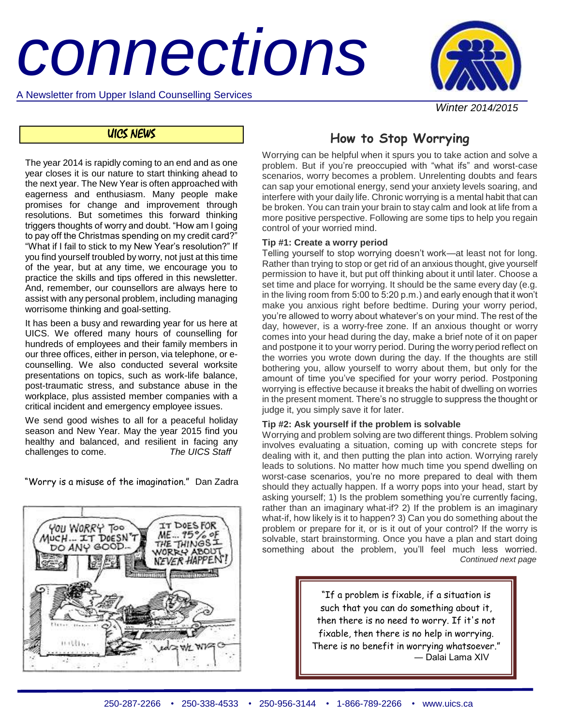# *connections*

A Newsletter from Upper Island Counselling Services



 *Winter 2014/2015* 

# UICS NEWS

The year 2014 is rapidly coming to an end and as one year closes it is our nature to start thinking ahead to the next year. The New Year is often approached with eagerness and enthusiasm. Many people make promises for change and improvement through resolutions. But sometimes this forward thinking triggers thoughts of worry and doubt. "How am I going to pay off the Christmas spending on my credit card?" "What if I fail to stick to my New Year's resolution?" If you find yourself troubled by worry, not just at this time of the year, but at any time, we encourage you to practice the skills and tips offered in this newsletter. And, remember, our counsellors are always here to assist with any personal problem, including managing worrisome thinking and goal-setting.

It has been a busy and rewarding year for us here at UICS. We offered many hours of counselling for hundreds of employees and their family members in our three offices, either in person, via telephone, or ecounselling. We also conducted several worksite presentations on topics, such as work-life balance, post-traumatic stress, and substance abuse in the workplace, plus assisted member companies with a critical incident and emergency employee issues.

We send good wishes to all for a peaceful holiday season and New Year. May the year 2015 find you healthy and balanced, and resilient in facing any challenges to come. *The UICS Staff*

"Worry is a misuse of the imagination." Dan Zadra



# **How to Stop Worrying**

Worrying can be helpful when it spurs you to take action and solve a problem. But if you're preoccupied with "what ifs" and worst-case scenarios, worry becomes a problem. Unrelenting doubts and fears can sap your emotional energy, send your anxiety levels soaring, and interfere with your daily life. Chronic worrying is a mental habit that can be broken. You can train your brain to stay calm and look at life from a more positive perspective. Following are some tips to help you regain control of your worried mind.

#### **Tip #1: Create a worry period**

Telling yourself to stop worrying doesn't work—at least not for long. Rather than trying to stop or get rid of an anxious thought, give yourself permission to have it, but put off thinking about it until later. Choose a set time and place for worrying. It should be the same every day (e.g. in the living room from 5:00 to 5:20 p.m.) and early enough that it won't make you anxious right before bedtime. During your worry period, you're allowed to worry about whatever's on your mind. The rest of the day, however, is a worry-free zone. If an anxious thought or worry comes into your head during the day, make a brief note of it on paper and postpone it to your worry period. During the worry period reflect on the worries you wrote down during the day. If the thoughts are still bothering you, allow yourself to worry about them, but only for the amount of time you've specified for your worry period. Postponing worrying is effective because it breaks the habit of dwelling on worries in the present moment. There's no struggle to suppress the thought or judge it, you simply save it for later.

#### **Tip #2: Ask yourself if the problem is solvable**

Worrying and problem solving are two different things. Problem solving involves evaluating a situation, coming up with concrete steps for dealing with it, and then putting the plan into action. Worrying rarely leads to solutions. No matter how much time you spend dwelling on worst-case scenarios, you're no more prepared to deal with them should they actually happen. If a worry pops into your head, start by asking yourself; 1) Is the problem something you're currently facing, rather than an imaginary what-if? 2) If the problem is an imaginary what-if, how likely is it to happen? 3) Can you do something about the problem or prepare for it, or is it out of your control? If the worry is solvable, start brainstorming. Once you have a plan and start doing something about the problem, you'll feel much less worried. *Continued next page*

> "If a problem is fixable, if a situation is such that you can do something about it, then there is no need to worry. If it's not fixable, then there is no help in worrying. There is no benefit in worrying whatsoever." ― Dalai Lama XIV